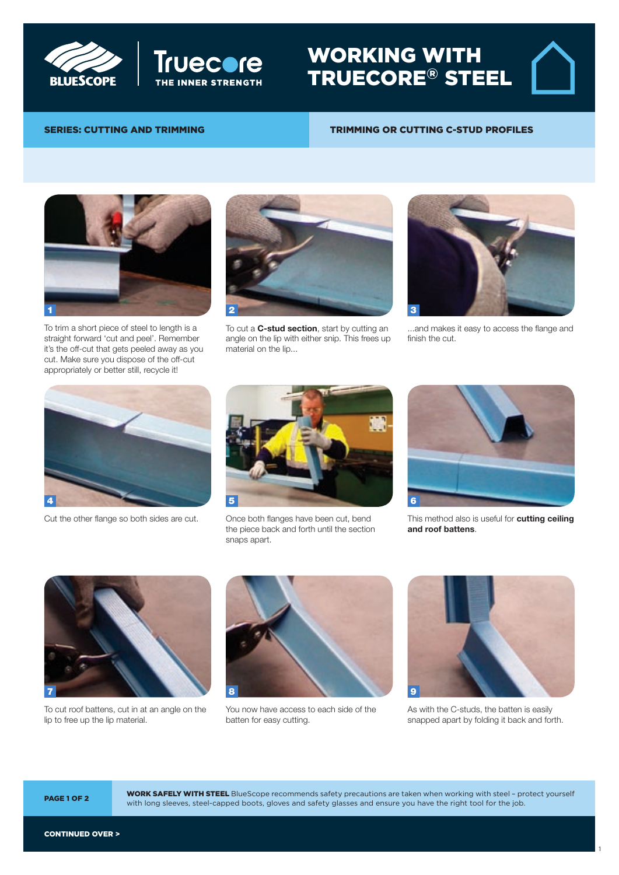



### WORKING WITH TRUECORE® STEEL

# SERIES: CUTTING AND TRIMMING Trimming or cutting

#### TRIMMING OR CUTTING C-STUD PROFILES



To trim a short piece of steel to length is a straight forward 'cut and peel'. Remember it's the off-cut that gets peeled away as you cut. Make sure you dispose of the off-cut appropriately or better still, recycle it!



To cut a **C-stud section**, start by cutting an angle on the lip with either snip. This frees up material on the lip...



...and makes it easy to access the flange and finish the cut.



Cut the other flange so both sides are cut. Once both flanges have been cut, bend



the piece back and forth until the section snaps apart.



This method also is useful for **cutting ceiling** and roof battens.



To cut roof battens, cut in at an angle on the lip to free up the lip material.

TRUE CORES and BlueScope are registered trade marks of  $B$  limited  $A$  bluescope  $S$  on  $B$ 



You now have access to each side of the batten for easy cutting.



As with the C-studs, the batten is easily snapped apart by folding it back and forth.

1

**WORK SAFELY WITH STEEL** BlueScope recommends safety precautions are taken when working with steel - protect yourself **PAGE 1 OF 2** with long sleeves, steel-capped boots, gloves and safety glasses and ensure you have the right tool for the job.